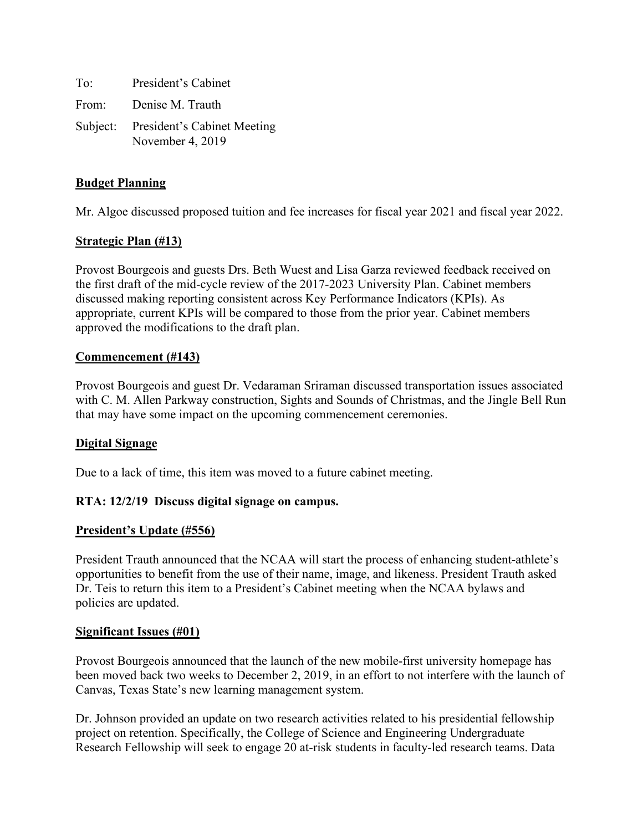To: President's Cabinet From: Denise M. Trauth Subject: President's Cabinet Meeting November 4, 2019

# **Budget Planning**

Mr. Algoe discussed proposed tuition and fee increases for fiscal year 2021 and fiscal year 2022.

# **Strategic Plan (#13)**

Provost Bourgeois and guests Drs. Beth Wuest and Lisa Garza reviewed feedback received on the first draft of the mid-cycle review of the 2017-2023 University Plan. Cabinet members discussed making reporting consistent across Key Performance Indicators (KPIs). As appropriate, current KPIs will be compared to those from the prior year. Cabinet members approved the modifications to the draft plan.

## **Commencement (#143)**

Provost Bourgeois and guest Dr. Vedaraman Sriraman discussed transportation issues associated with C. M. Allen Parkway construction, Sights and Sounds of Christmas, and the Jingle Bell Run that may have some impact on the upcoming commencement ceremonies.

## **Digital Signage**

Due to a lack of time, this item was moved to a future cabinet meeting.

## **RTA: 12/2/19 Discuss digital signage on campus.**

## **President's Update (#556)**

President Trauth announced that the NCAA will start the process of enhancing student-athlete's opportunities to benefit from the use of their name, image, and likeness. President Trauth asked Dr. Teis to return this item to a President's Cabinet meeting when the NCAA bylaws and policies are updated.

## **Significant Issues (#01)**

Provost Bourgeois announced that the launch of the new mobile-first university homepage has been moved back two weeks to December 2, 2019, in an effort to not interfere with the launch of Canvas, Texas State's new learning management system.

Dr. Johnson provided an update on two research activities related to his presidential fellowship project on retention. Specifically, the College of Science and Engineering Undergraduate Research Fellowship will seek to engage 20 at-risk students in faculty-led research teams. Data